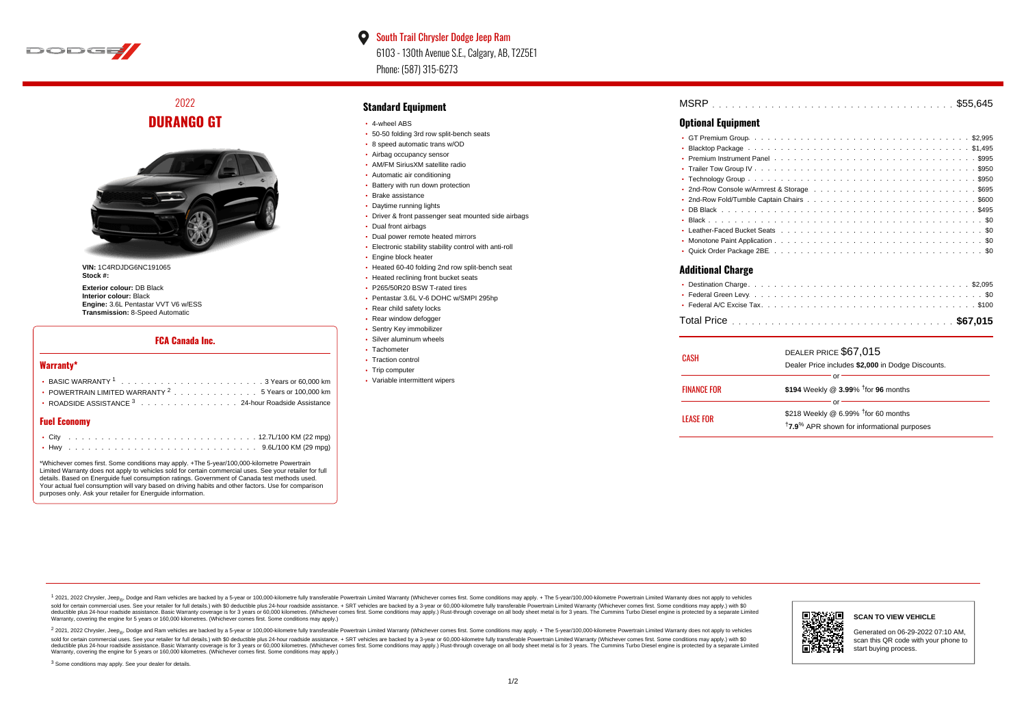

 $\bullet$ South Trail Chrysler Dodge Jeep Ram 6103 - 130th Avenue S.E., Calgary, AB, T2Z5E1 Phone: (587) 315-6273

2022 **DURANGO GT**



**VIN:** 1C4RDJDG6NC191065 **Stock #:**

**Exterior colour:** DB Black **Interior colour:** Black **Engine:** 3.6L Pentastar VVT V6 w/ESS **Transmission:** 8-Speed Automatic

#### **FCA Canada Inc.**

#### **Warranty\***

| • POWERTRAIN LIMITED WARRANTY $2 \ldots \ldots \ldots \ldots \ldots 5$ Years or 100,000 km |
|--------------------------------------------------------------------------------------------|
| • ROADSIDE ASSISTANCE 3 24-hour Roadside Assistance                                        |
|                                                                                            |

### **Fuel Economy**

\*Whichever comes first. Some conditions may apply. +The 5-year/100,000-kilometre Powertrain Limited Warranty does not apply to vehicles sold for certain commercial uses. See your retailer for full details. Based on Energuide fuel consumption ratings. Government of Canada test methods used. Your actual fuel consumption will vary based on driving habits and other factors. Use for comparison purposes only. Ask your retailer for Energuide information.

#### **Standard Equipment**

- 4-wheel ABS
- 50-50 folding 3rd row split-bench seats
- 8 speed automatic trans w/OD
- Airbag occupancy sensor
- AM/FM SiriusXM satellite radio
- Automatic air conditioning
- Battery with run down protection
- Brake assistance
- Daytime running lights
- Driver & front passenger seat mounted side airbags
- Dual front airbags
- Dual power remote heated mirrors
- Electronic stability stability control with anti-roll
- **Engine block heater**
- Heated 60-40 folding 2nd row split-bench seat
- Heated reclining front bucket seats
- P265/50R20 BSW T-rated tires
- Pentastar 3.6L V-6 DOHC w/SMPI 295hp
- Rear child safety locks
- Rear window defogger
- **· Sentry Key immobilizer**
- Silver aluminum wheels • Tachometer
- 
- Traction control • Trip computer
- 
- Variable intermittent wipers

| MSRP |  |  |  |  |  |  |  |  |  |  |  |  |  |  |  |  |  |  |  |  |  |  |
|------|--|--|--|--|--|--|--|--|--|--|--|--|--|--|--|--|--|--|--|--|--|--|
|      |  |  |  |  |  |  |  |  |  |  |  |  |  |  |  |  |  |  |  |  |  |  |

#### **Optional Equipment**

| <b>Additional Charge</b> |  |
|--------------------------|--|
|                          |  |
|                          |  |

| CASH               | DEALER PRICE \$67,015<br>Dealer Price includes \$2,000 in Dodge Discounts.                                                  |
|--------------------|-----------------------------------------------------------------------------------------------------------------------------|
| <b>FINANCE FOR</b> | \$194 Weekly @ 3.99% <sup>†</sup> for 96 months                                                                             |
| LEASE FOR          | Ωľ<br>\$218 Weekly @ 6.99% <sup>†</sup> for 60 months<br><sup>†</sup> 7.9 <sup>%</sup> APR shown for informational purposes |

1 2021, 2022 Chrysler, Jeep.... Dodge and Ram vehicles are backed by a 5-year or 100,000-kilometre fully transferable Powertrain Limited Warranty (Whichever comes first. Some conditions may apply. + The 5-year/100,000-kilo sold for certain commercial uses. See your retailer for full details.) with \$0 deductible plus 24-hour roadside assistance. + SRT vehicles are backed by a 3-year or 60,000-kilometre fully transferable Powertrain Limited Wa detuctible plus 24-hour roadside assistance. Basic Warranty coverage is for 3 years or 60,000 kilometres. Whichever comes first. Some conditions may apply.) Rust-through coverage on all body sheet metals for 3 years. The C Warranty, covering the engine for 5 years or 160,000 kilometres. (Whichever comes first. Some conditions may apply.)

<sup>2</sup> 2021, 2022 Chrysler, Jeep<sub>®</sub>, Dodge and Ram vehicles are backed by a 5-year or 100,000-kilometre fully transferable Powertrain Limited Warranty (Whichever comes first. Some conditions may apply. + The 5-year/100,000-ki sold for certain commercial uses. See your retailer for full details.) with \$0 deductible plus 24-hour roadside assistance. + SRT vehicles are backed by a 3-year or 60.000-kilometre fully transferable Powertrain Limited Wa deductible plus 24-hour roadside assistance. Basic Warranty coverage is for 3 years or 60,000 kilometres. (Whichever comes first. Some conditions may apply.) Rust-through coverage on all body sheet metal is for 3 years. Th



#### **SCAN TO VIEW VEHICLE**

Generated on 06-29-2022 07:10 AM, scan this QR code with your phone to start buying process.

<sup>3</sup> Some conditions may apply. See your dealer for details.